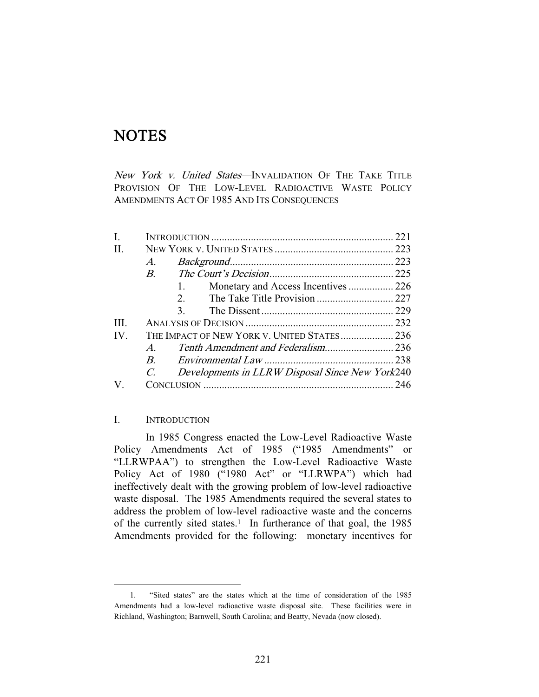# **NOTES**

New York v. United States—INVALIDATION OF THE TAKE TITLE PROVISION OF THE LOW-LEVEL RADIOACTIVE WASTE POLICY AMENDMENTS ACT OF 1985 AND ITS CONSEQUENCES

| I.         |                                                                  |  |
|------------|------------------------------------------------------------------|--|
| H          |                                                                  |  |
|            | $A$ .                                                            |  |
|            | $B_{\cdot}$                                                      |  |
|            | 1.                                                               |  |
|            | 2.                                                               |  |
|            | 3.                                                               |  |
| <b>III</b> |                                                                  |  |
| IV         | THE IMPACT OF NEW YORK V. UNITED STATES 236                      |  |
|            | $\boldsymbol{A}$                                                 |  |
|            | $\boldsymbol{B}$                                                 |  |
|            | Developments in LLRW Disposal Since New York240<br>$\mathcal{C}$ |  |
| V          |                                                                  |  |

### I. INTRODUCTION

-

 In 1985 Congress enacted the Low-Level Radioactive Waste Policy Amendments Act of 1985 ("1985 Amendments" or "LLRWPAA") to strengthen the Low-Level Radioactive Waste Policy Act of 1980 ("1980 Act" or "LLRWPA") which had ineffectively dealt with the growing problem of low-level radioactive waste disposal. The 1985 Amendments required the several states to address the problem of low-level radioactive waste and the concerns of the currently sited states.<sup>1</sup> In furtherance of that goal, the 1985 Amendments provided for the following: monetary incentives for

<sup>1. &</sup>quot;Sited states" are the states which at the time of consideration of the 1985 Amendments had a low-level radioactive waste disposal site. These facilities were in Richland, Washington; Barnwell, South Carolina; and Beatty, Nevada (now closed).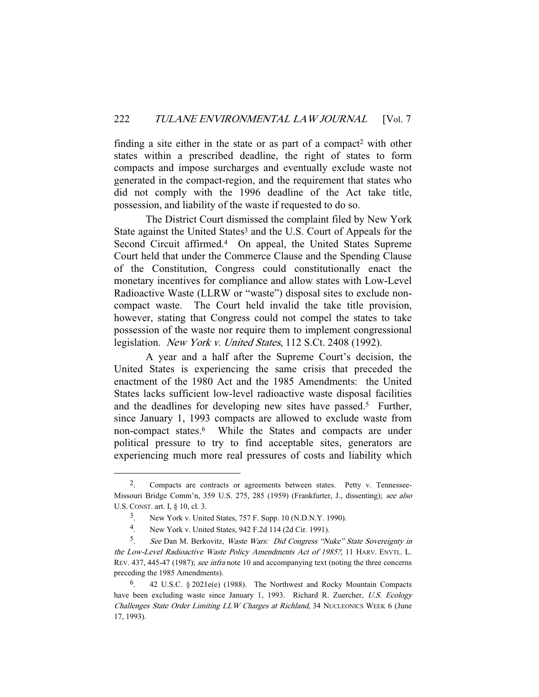finding a site either in the state or as part of a compact<sup>2</sup> with other states within a prescribed deadline, the right of states to form compacts and impose surcharges and eventually exclude waste not generated in the compact-region, and the requirement that states who did not comply with the 1996 deadline of the Act take title, possession, and liability of the waste if requested to do so.

 The District Court dismissed the complaint filed by New York State against the United States<sup>3</sup> and the U.S. Court of Appeals for the Second Circuit affirmed.<sup>4</sup> On appeal, the United States Supreme Court held that under the Commerce Clause and the Spending Clause of the Constitution, Congress could constitutionally enact the monetary incentives for compliance and allow states with Low-Level Radioactive Waste (LLRW or "waste") disposal sites to exclude noncompact waste. The Court held invalid the take title provision, however, stating that Congress could not compel the states to take possession of the waste nor require them to implement congressional legislation. New York v. United States, 112 S.Ct. 2408 (1992).

 A year and a half after the Supreme Court's decision, the United States is experiencing the same crisis that preceded the enactment of the 1980 Act and the 1985 Amendments: the United States lacks sufficient low-level radioactive waste disposal facilities and the deadlines for developing new sites have passed.<sup>5</sup> Further, since January 1, 1993 compacts are allowed to exclude waste from non-compact states.6 While the States and compacts are under political pressure to try to find acceptable sites, generators are experiencing much more real pressures of costs and liability which

<sup>2.</sup> Compacts are contracts or agreements between states. Petty v. Tennessee-Missouri Bridge Comm'n, 359 U.S. 275, 285 (1959) (Frankfurter, J., dissenting); see also U.S. CONST. art. I, § 10, cl. 3.

<sup>3.</sup> New York v. United States, 757 F. Supp. 10 (N.D.N.Y. 1990).

<sup>4.</sup> New York v. United States, 942 F.2d 114 (2d Cir. 1991).

<sup>5.</sup> See Dan M. Berkovitz, Waste Wars: Did Congress "Nuke" State Sovereignty in the Low-Level Radioactive Waste Policy Amendments Act of 1985?, 11 HARV. ENVTL. L. REV. 437, 445-47 (1987); see infra note 10 and accompanying text (noting the three concerns preceding the 1985 Amendments).

<sup>6. 42</sup> U.S.C. § 2021e(e) (1988). The Northwest and Rocky Mountain Compacts have been excluding waste since January 1, 1993. Richard R. Zuercher, U.S. Ecology Challenges State Order Limiting LLW Charges at Richland, 34 NUCLEONICS WEEK 6 (June 17, 1993).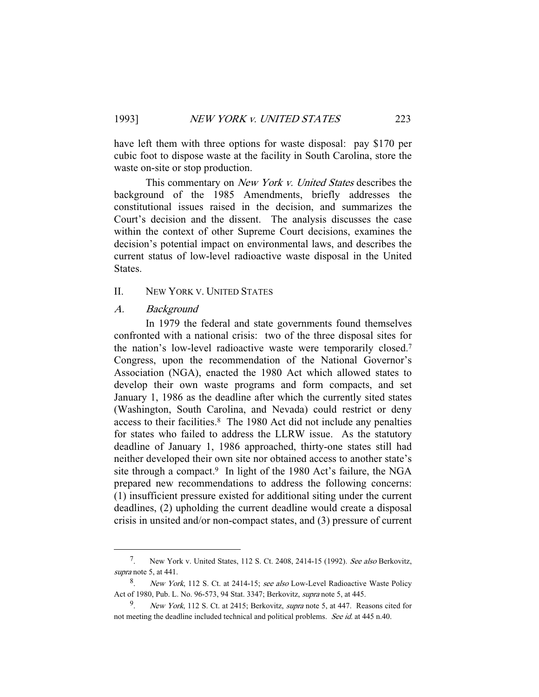have left them with three options for waste disposal: pay \$170 per cubic foot to dispose waste at the facility in South Carolina, store the waste on-site or stop production.

This commentary on *New York v. United States* describes the background of the 1985 Amendments, briefly addresses the constitutional issues raised in the decision, and summarizes the Court's decision and the dissent. The analysis discusses the case within the context of other Supreme Court decisions, examines the decision's potential impact on environmental laws, and describes the current status of low-level radioactive waste disposal in the United States.

#### II. NEW YORK V. UNITED STATES

#### A. Background

-

 In 1979 the federal and state governments found themselves confronted with a national crisis: two of the three disposal sites for the nation's low-level radioactive waste were temporarily closed.7 Congress, upon the recommendation of the National Governor's Association (NGA), enacted the 1980 Act which allowed states to develop their own waste programs and form compacts, and set January 1, 1986 as the deadline after which the currently sited states (Washington, South Carolina, and Nevada) could restrict or deny access to their facilities.8 The 1980 Act did not include any penalties for states who failed to address the LLRW issue. As the statutory deadline of January 1, 1986 approached, thirty-one states still had neither developed their own site nor obtained access to another state's site through a compact.<sup>9</sup> In light of the 1980 Act's failure, the NGA prepared new recommendations to address the following concerns: (1) insufficient pressure existed for additional siting under the current deadlines, (2) upholding the current deadline would create a disposal crisis in unsited and/or non-compact states, and (3) pressure of current

<sup>7.</sup> New York v. United States, 112 S. Ct. 2408, 2414-15 (1992). See also Berkovitz, supra note 5, at 441.

<sup>8.</sup> New York, 112 S. Ct. at 2414-15; see also Low-Level Radioactive Waste Policy Act of 1980, Pub. L. No. 96-573, 94 Stat. 3347; Berkovitz, supra note 5, at 445.

<sup>9.</sup> New York, 112 S. Ct. at 2415; Berkovitz, supra note 5, at 447. Reasons cited for not meeting the deadline included technical and political problems. See id. at 445 n.40.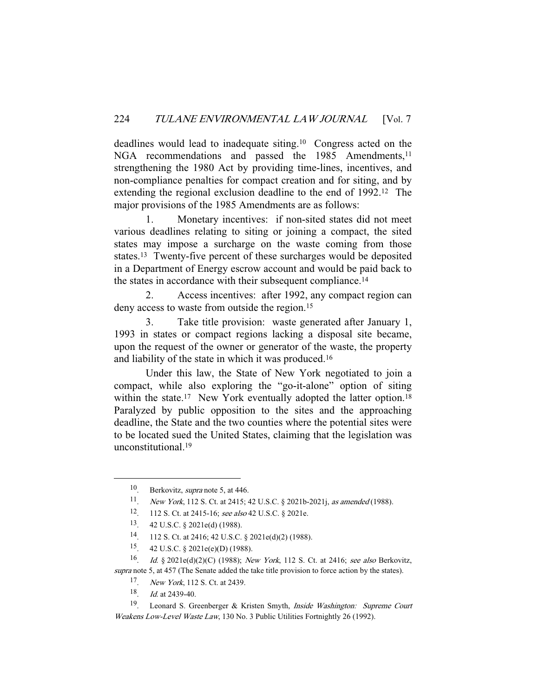deadlines would lead to inadequate siting.10 Congress acted on the NGA recommendations and passed the 1985 Amendments,<sup>11</sup> strengthening the 1980 Act by providing time-lines, incentives, and non-compliance penalties for compact creation and for siting, and by extending the regional exclusion deadline to the end of 1992.12 The major provisions of the 1985 Amendments are as follows:

 1. Monetary incentives: if non-sited states did not meet various deadlines relating to siting or joining a compact, the sited states may impose a surcharge on the waste coming from those states.13 Twenty-five percent of these surcharges would be deposited in a Department of Energy escrow account and would be paid back to the states in accordance with their subsequent compliance.14

 2. Access incentives: after 1992, any compact region can deny access to waste from outside the region.15

 3. Take title provision: waste generated after January 1, 1993 in states or compact regions lacking a disposal site became, upon the request of the owner or generator of the waste, the property and liability of the state in which it was produced.16

 Under this law, the State of New York negotiated to join a compact, while also exploring the "go-it-alone" option of siting within the state.<sup>17</sup> New York eventually adopted the latter option.<sup>18</sup> Paralyzed by public opposition to the sites and the approaching deadline, the State and the two counties where the potential sites were to be located sued the United States, claiming that the legislation was unconstitutional.19

<sup>10.</sup> Berkovitz, supra note 5, at 446.

<sup>11.</sup> New York, 112 S. Ct. at 2415; 42 U.S.C. § 2021b-2021j, as amended (1988).

<sup>12. 112</sup> S. Ct. at 2415-16; see also 42 U.S.C. § 2021e.

<sup>13. 42</sup> U.S.C. § 2021e(d) (1988).

<sup>14. 112</sup> S. Ct. at 2416; 42 U.S.C. § 2021e(d)(2) (1988).

<sup>15. 42</sup> U.S.C. § 2021e(e)(D) (1988).

<sup>&</sup>lt;sup>16</sup>. *Id.* § 2021e(d)(2)(C) (1988); New York, 112 S. Ct. at 2416; see also Berkovitz, supra note 5, at 457 (The Senate added the take title provision to force action by the states).

<sup>17.</sup> New York, 112 S. Ct. at 2439.

<sup>18.</sup> Id. at 2439-40.

<sup>&</sup>lt;sup>19</sup>. Leonard S. Greenberger & Kristen Smyth, *Inside Washington: Supreme Court* Weakens Low-Level Waste Law, 130 No. 3 Public Utilities Fortnightly 26 (1992).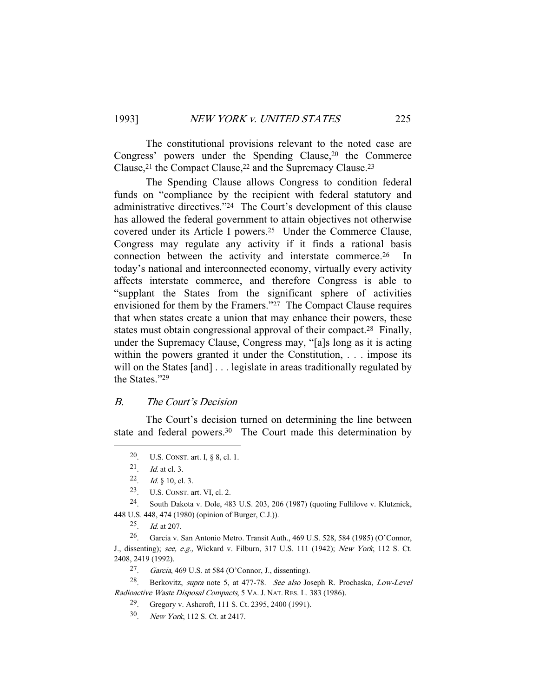The constitutional provisions relevant to the noted case are Congress' powers under the Spending Clause,20 the Commerce Clause,<sup>21</sup> the Compact Clause,<sup>22</sup> and the Supremacy Clause.<sup>23</sup>

 The Spending Clause allows Congress to condition federal funds on "compliance by the recipient with federal statutory and administrative directives."24 The Court's development of this clause has allowed the federal government to attain objectives not otherwise covered under its Article I powers.25 Under the Commerce Clause, Congress may regulate any activity if it finds a rational basis connection between the activity and interstate commerce.<sup>26</sup> today's national and interconnected economy, virtually every activity affects interstate commerce, and therefore Congress is able to "supplant the States from the significant sphere of activities envisioned for them by the Framers."27 The Compact Clause requires that when states create a union that may enhance their powers, these states must obtain congressional approval of their compact.28 Finally, under the Supremacy Clause, Congress may, "[a]s long as it is acting within the powers granted it under the Constitution, ... impose its will on the States [and] . . . legislate in areas traditionally regulated by the States."29

## B. The Court's Decision

 The Court's decision turned on determining the line between state and federal powers.<sup>30</sup> The Court made this determination by

-

<sup>27</sup>. *Garcia*, 469 U.S. at 584 (O'Connor, J., dissenting).

28. Berkovitz, supra note 5, at 477-78. See also Joseph R. Prochaska, Low-Level Radioactive Waste Disposal Compacts, 5 VA. J. NAT. RES. L. 383 (1986).

29. Gregory v. Ashcroft, 111 S. Ct. 2395, 2400 (1991).

30. New York, 112 S. Ct. at 2417.

<sup>20.</sup> U.S. CONST. art. I, § 8, cl. 1.

 $21$ . *Id.* at cl. 3.

<sup>22.</sup> *Id.* § 10, cl. 3.

<sup>23.</sup> U.S. CONST. art. VI, cl. 2.

<sup>24.</sup> South Dakota v. Dole, 483 U.S. 203, 206 (1987) (quoting Fullilove v. Klutznick, 448 U.S. 448, 474 (1980) (opinion of Burger, C.J.)).

 $25$ . *Id.* at 207.

<sup>26.</sup> Garcia v. San Antonio Metro. Transit Auth., 469 U.S. 528, 584 (1985) (O'Connor, J., dissenting); see, e.g., Wickard v. Filburn, 317 U.S. 111 (1942); New York, 112 S. Ct. 2408, 2419 (1992).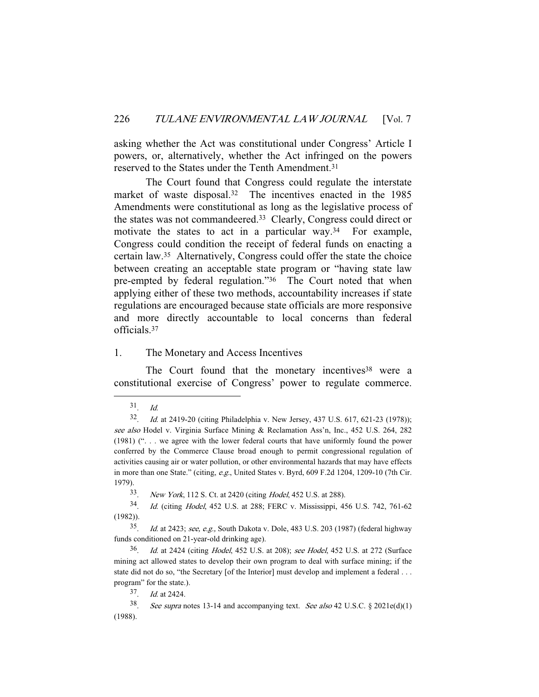asking whether the Act was constitutional under Congress' Article I powers, or, alternatively, whether the Act infringed on the powers reserved to the States under the Tenth Amendment.31

 The Court found that Congress could regulate the interstate market of waste disposal.<sup>32</sup> The incentives enacted in the 1985 Amendments were constitutional as long as the legislative process of the states was not commandeered.33 Clearly, Congress could direct or motivate the states to act in a particular way.<sup>34</sup> For example, Congress could condition the receipt of federal funds on enacting a certain law.35 Alternatively, Congress could offer the state the choice between creating an acceptable state program or "having state law pre-empted by federal regulation."36 The Court noted that when applying either of these two methods, accountability increases if state regulations are encouraged because state officials are more responsive and more directly accountable to local concerns than federal officials.37

### 1. The Monetary and Access Incentives

The Court found that the monetary incentives<sup>38</sup> were a constitutional exercise of Congress' power to regulate commerce.

 $31$ . *Id.* 

<sup>32.</sup> Id. at 2419-20 (citing Philadelphia v. New Jersey, 437 U.S. 617, 621-23 (1978)); see also Hodel v. Virginia Surface Mining & Reclamation Ass'n, Inc., 452 U.S. 264, 282 (1981) (". . . we agree with the lower federal courts that have uniformly found the power conferred by the Commerce Clause broad enough to permit congressional regulation of activities causing air or water pollution, or other environmental hazards that may have effects in more than one State." (citing, e.g., United States v. Byrd, 609 F.2d 1204, 1209-10 (7th Cir. 1979).

<sup>33.</sup> New York, 112 S. Ct. at 2420 (citing Hodel, 452 U.S. at 288).

<sup>34.</sup> Id. (citing Hodel, 452 U.S. at 288; FERC v. Mississippi, 456 U.S. 742, 761-62 (1982)).

 $35.$  Id. at 2423; see, e.g., South Dakota v. Dole, 483 U.S. 203 (1987) (federal highway funds conditioned on 21-year-old drinking age).

 $36$ . *Id.* at 2424 (citing *Hodel*, 452 U.S. at 208); see *Hodel*, 452 U.S. at 272 (Surface mining act allowed states to develop their own program to deal with surface mining; if the state did not do so, "the Secretary [of the Interior] must develop and implement a federal . . . program" for the state.).

<sup>37.</sup> Id. at 2424.

<sup>38.</sup> See supra notes 13-14 and accompanying text. See also 42 U.S.C. § 2021e(d)(1) (1988).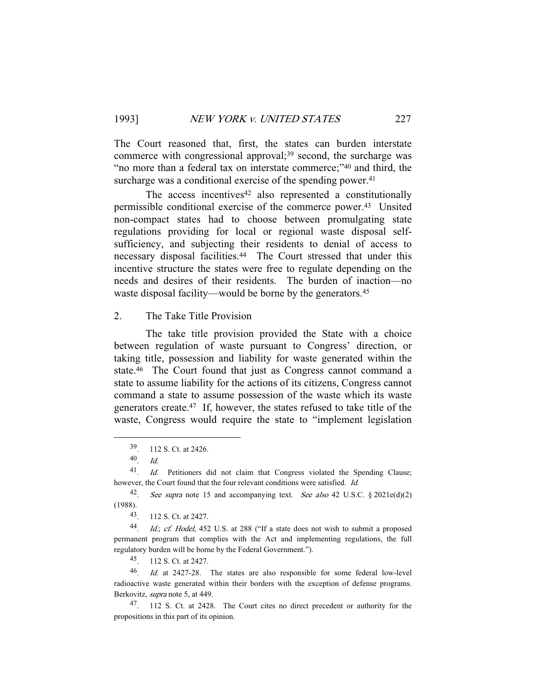The Court reasoned that, first, the states can burden interstate commerce with congressional approval;<sup>39</sup> second, the surcharge was "no more than a federal tax on interstate commerce;"40 and third, the surcharge was a conditional exercise of the spending power. $41$ 

The access incentives  $42$  also represented a constitutionally permissible conditional exercise of the commerce power.43 Unsited non-compact states had to choose between promulgating state regulations providing for local or regional waste disposal selfsufficiency, and subjecting their residents to denial of access to necessary disposal facilities.44 The Court stressed that under this incentive structure the states were free to regulate depending on the needs and desires of their residents. The burden of inaction—no waste disposal facility—would be borne by the generators.<sup>45</sup>

## 2. The Take Title Provision

 The take title provision provided the State with a choice between regulation of waste pursuant to Congress' direction, or taking title, possession and liability for waste generated within the state.46 The Court found that just as Congress cannot command a state to assume liability for the actions of its citizens, Congress cannot command a state to assume possession of the waste which its waste generators create.47 If, however, the states refused to take title of the waste, Congress would require the state to "implement legislation

-

45. 112 S. Ct. at 2427.

46. Id. at 2427-28. The states are also responsible for some federal low-level radioactive waste generated within their borders with the exception of defense programs. Berkovitz, supra note 5, at 449.

47. 112 S. Ct. at 2428. The Court cites no direct precedent or authority for the propositions in this part of its opinion.

<sup>39. 112</sup> S. Ct. at 2426.

<sup>40.</sup> Id.

<sup>&</sup>lt;sup>41</sup>. Id. Petitioners did not claim that Congress violated the Spending Clause; however, the Court found that the four relevant conditions were satisfied. Id.

<sup>42.</sup> See supra note 15 and accompanying text. See also 42 U.S.C.  $\S 2021e(d)(2)$ (1988).

<sup>43. 112</sup> S. Ct. at 2427.

<sup>44.</sup> Id.; cf. Hodel, 452 U.S. at 288 ("If a state does not wish to submit a proposed permanent program that complies with the Act and implementing regulations, the full regulatory burden will be borne by the Federal Government.").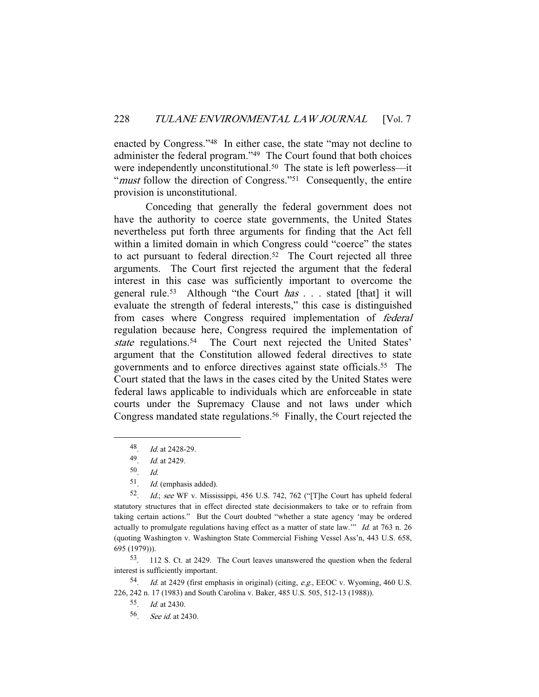enacted by Congress."48 In either case, the state "may not decline to administer the federal program."49 The Court found that both choices were independently unconstitutional.<sup>50</sup> The state is left powerless—it "*must* follow the direction of Congress."<sup>51</sup> Consequently, the entire provision is unconstitutional.

 Conceding that generally the federal government does not have the authority to coerce state governments, the United States nevertheless put forth three arguments for finding that the Act fell within a limited domain in which Congress could "coerce" the states to act pursuant to federal direction.52 The Court rejected all three arguments. The Court first rejected the argument that the federal interest in this case was sufficiently important to overcome the general rule.53 Although "the Court has . . . stated [that] it will evaluate the strength of federal interests," this case is distinguished from cases where Congress required implementation of federal regulation because here, Congress required the implementation of state regulations.<sup>54</sup> The Court next rejected the United States' argument that the Constitution allowed federal directives to state governments and to enforce directives against state officials.55 The Court stated that the laws in the cases cited by the United States were federal laws applicable to individuals which are enforceable in state courts under the Supremacy Clause and not laws under which Congress mandated state regulations.<sup>56</sup> Finally, the Court rejected the

-

53. 112 S. Ct. at 2429. The Court leaves unanswered the question when the federal interest is sufficiently important.

54. Id. at 2429 (first emphasis in original) (citing, e.g., EEOC v. Wyoming, 460 U.S. 226, 242 n. 17 (1983) and South Carolina v. Baker, 485 U.S. 505, 512-13 (1988)).

55. Id. at 2430.

56. See id. at 2430.

<sup>48.</sup> Id. at 2428-29.

<sup>49.</sup> Id. at 2429.

<sup>50.</sup> Id.

<sup>51.</sup> Id. (emphasis added).

<sup>52.</sup> Id.; see WF v. Mississippi, 456 U.S. 742, 762 ("[T]he Court has upheld federal statutory structures that in effect directed state decisionmakers to take or to refrain from taking certain actions." But the Court doubted "whether a state agency 'may be ordered actually to promulgate regulations having effect as a matter of state law." Id. at 763 n. 26 (quoting Washington v. Washington State Commercial Fishing Vessel Ass'n, 443 U.S. 658, 695 (1979))).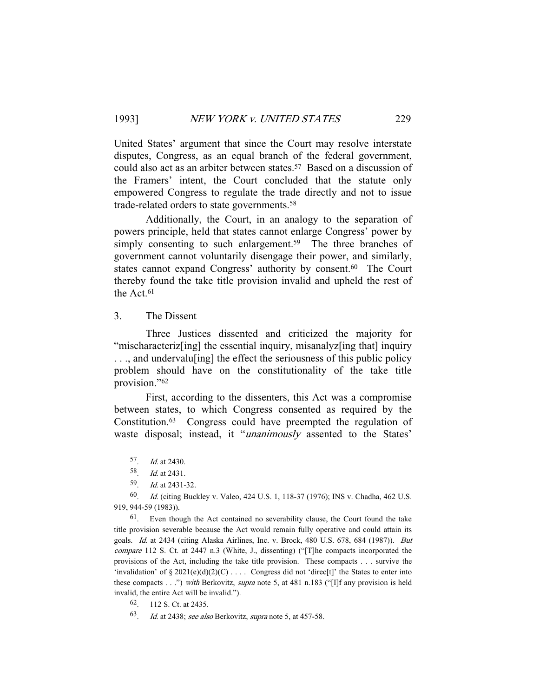United States' argument that since the Court may resolve interstate disputes, Congress, as an equal branch of the federal government, could also act as an arbiter between states.57 Based on a discussion of the Framers' intent, the Court concluded that the statute only empowered Congress to regulate the trade directly and not to issue trade-related orders to state governments.58

 Additionally, the Court, in an analogy to the separation of powers principle, held that states cannot enlarge Congress' power by simply consenting to such enlargement.<sup>59</sup> The three branches of government cannot voluntarily disengage their power, and similarly, states cannot expand Congress' authority by consent.<sup>60</sup> The Court thereby found the take title provision invalid and upheld the rest of the Act 61

3. The Dissent

 Three Justices dissented and criticized the majority for "mischaracteriz[ing] the essential inquiry, misanalyz[ing that] inquiry . . ., and undervalu[ing] the effect the seriousness of this public policy problem should have on the constitutionality of the take title provision."62

 First, according to the dissenters, this Act was a compromise between states, to which Congress consented as required by the Constitution.63 Congress could have preempted the regulation of waste disposal; instead, it "unanimously assented to the States'

-

61. Even though the Act contained no severability clause, the Court found the take title provision severable because the Act would remain fully operative and could attain its goals. Id. at 2434 (citing Alaska Airlines, Inc. v. Brock, 480 U.S. 678, 684 (1987)). But compare 112 S. Ct. at 2447 n.3 (White, J., dissenting) ("[T]he compacts incorporated the provisions of the Act, including the take title provision. These compacts . . . survive the 'invalidation' of  $\S 2021(e)(d)(2)(C)$ .... Congress did not 'direc[t]' the States to enter into these compacts . . .") with Berkovitz, *supra* note 5, at 481 n.183 ("[I]f any provision is held invalid, the entire Act will be invalid.").

62. 112 S. Ct. at 2435.

<sup>57.</sup> Id. at 2430.

<sup>58.</sup> Id. at 2431.

<sup>59.</sup> Id. at 2431-32.

<sup>60.</sup> Id. (citing Buckley v. Valeo, 424 U.S. 1, 118-37 (1976); INS v. Chadha, 462 U.S. 919, 944-59 (1983)).

<sup>63.</sup> Id. at 2438; see also Berkovitz, supra note 5, at 457-58.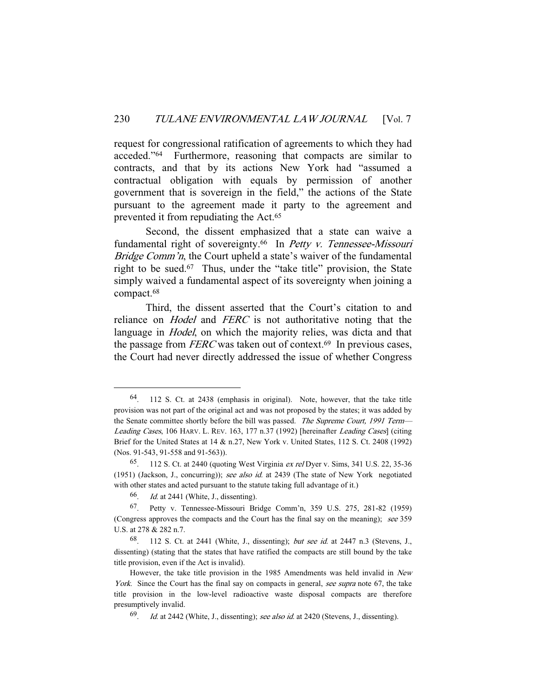request for congressional ratification of agreements to which they had acceded."64 Furthermore, reasoning that compacts are similar to contracts, and that by its actions New York had "assumed a contractual obligation with equals by permission of another government that is sovereign in the field," the actions of the State pursuant to the agreement made it party to the agreement and prevented it from repudiating the Act.65

 Second, the dissent emphasized that a state can waive a fundamental right of sovereignty.<sup>66</sup> In *Petty v. Tennessee-Missouri* Bridge Comm'n, the Court upheld a state's waiver of the fundamental right to be sued.67 Thus, under the "take title" provision, the State simply waived a fundamental aspect of its sovereignty when joining a compact.68

 Third, the dissent asserted that the Court's citation to and reliance on *Hodel* and *FERC* is not authoritative noting that the language in *Hodel*, on which the majority relies, was dicta and that the passage from  $FERC$  was taken out of context.<sup>69</sup> In previous cases, the Court had never directly addressed the issue of whether Congress

<sup>64. 112</sup> S. Ct. at 2438 (emphasis in original). Note, however, that the take title provision was not part of the original act and was not proposed by the states; it was added by the Senate committee shortly before the bill was passed. The Supreme Court, 1991 Term— Leading Cases, 106 HARV. L. REV. 163, 177 n.37 (1992) [hereinafter Leading Cases] (citing Brief for the United States at 14 & n.27, New York v. United States, 112 S. Ct. 2408 (1992) (Nos. 91-543, 91-558 and 91-563)).

<sup>65. 112</sup> S. Ct. at 2440 (quoting West Virginia ex rel Dyer v. Sims, 341 U.S. 22, 35-36 (1951) (Jackson, J., concurring)); see also id. at 2439 (The state of New York negotiated with other states and acted pursuant to the statute taking full advantage of it.)

 $66.$  *Id.* at 2441 (White, J., dissenting).

<sup>67.</sup> Petty v. Tennessee-Missouri Bridge Comm'n, 359 U.S. 275, 281-82 (1959) (Congress approves the compacts and the Court has the final say on the meaning); see 359 U.S. at 278 & 282 n.7.

 $68.$  112 S. Ct. at 2441 (White, J., dissenting); but see id. at 2447 n.3 (Stevens, J., dissenting) (stating that the states that have ratified the compacts are still bound by the take title provision, even if the Act is invalid).

However, the take title provision in the 1985 Amendments was held invalid in New York. Since the Court has the final say on compacts in general, see supra note 67, the take title provision in the low-level radioactive waste disposal compacts are therefore presumptively invalid.

<sup>69.</sup> Id. at 2442 (White, J., dissenting); see also id. at 2420 (Stevens, J., dissenting).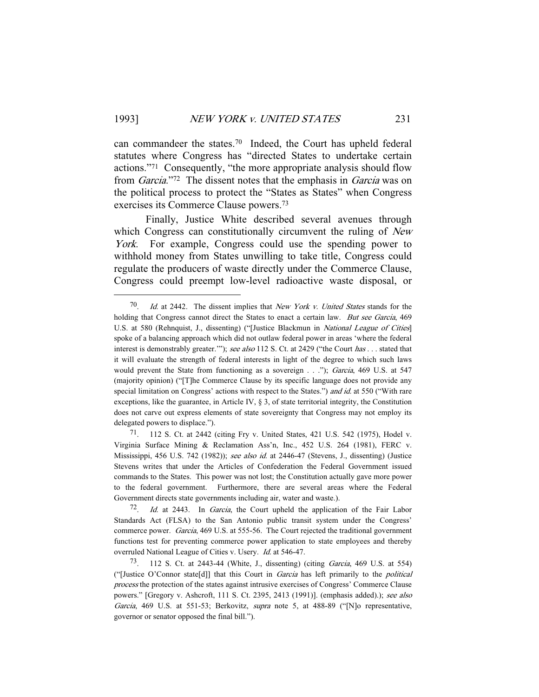can commandeer the states.70 Indeed, the Court has upheld federal statutes where Congress has "directed States to undertake certain actions."71 Consequently, "the more appropriate analysis should flow from *Garcia*."<sup>72</sup> The dissent notes that the emphasis in *Garcia* was on the political process to protect the "States as States" when Congress exercises its Commerce Clause powers.73

 Finally, Justice White described several avenues through which Congress can constitutionally circumvent the ruling of New York. For example, Congress could use the spending power to withhold money from States unwilling to take title, Congress could regulate the producers of waste directly under the Commerce Clause, Congress could preempt low-level radioactive waste disposal, or

71. 112 S. Ct. at 2442 (citing Fry v. United States, 421 U.S. 542 (1975), Hodel v. Virginia Surface Mining & Reclamation Ass'n, Inc., 452 U.S. 264 (1981), FERC v. Mississippi, 456 U.S. 742 (1982)); see also id. at 2446-47 (Stevens, J., dissenting) (Justice Stevens writes that under the Articles of Confederation the Federal Government issued commands to the States. This power was not lost; the Constitution actually gave more power to the federal government. Furthermore, there are several areas where the Federal Government directs state governments including air, water and waste.).

 $72$ . *Id.* at 2443. In *Garcia*, the Court upheld the application of the Fair Labor Standards Act (FLSA) to the San Antonio public transit system under the Congress' commerce power. Garcia, 469 U.S. at 555-56. The Court rejected the traditional government functions test for preventing commerce power application to state employees and thereby overruled National League of Cities v. Usery. Id. at 546-47.

73. 112 S. Ct. at 2443-44 (White, J., dissenting) (citing Garcia, 469 U.S. at 554) ("[Justice O'Connor state[d]] that this Court in Garcia has left primarily to the political process the protection of the states against intrusive exercises of Congress' Commerce Clause powers." [Gregory v. Ashcroft, 111 S. Ct. 2395, 2413 (1991)]. (emphasis added).); see also Garcia, 469 U.S. at 551-53; Berkovitz, supra note 5, at 488-89 ("[N]o representative, governor or senator opposed the final bill.").

<sup>70.</sup> Id. at 2442. The dissent implies that *New York v. United States* stands for the holding that Congress cannot direct the States to enact a certain law. But see Garcia, 469 U.S. at 580 (Rehnquist, J., dissenting) ("[Justice Blackmun in National League of Cities] spoke of a balancing approach which did not outlaw federal power in areas 'where the federal interest is demonstrably greater.""); see also 112 S. Ct. at 2429 ("the Court has . . . stated that it will evaluate the strength of federal interests in light of the degree to which such laws would prevent the State from functioning as a sovereign . . ."); *Garcia*, 469 U.S. at 547 (majority opinion) ("[T]he Commerce Clause by its specific language does not provide any special limitation on Congress' actions with respect to the States.") and id. at 550 ("With rare exceptions, like the guarantee, in Article IV, § 3, of state territorial integrity, the Constitution does not carve out express elements of state sovereignty that Congress may not employ its delegated powers to displace.").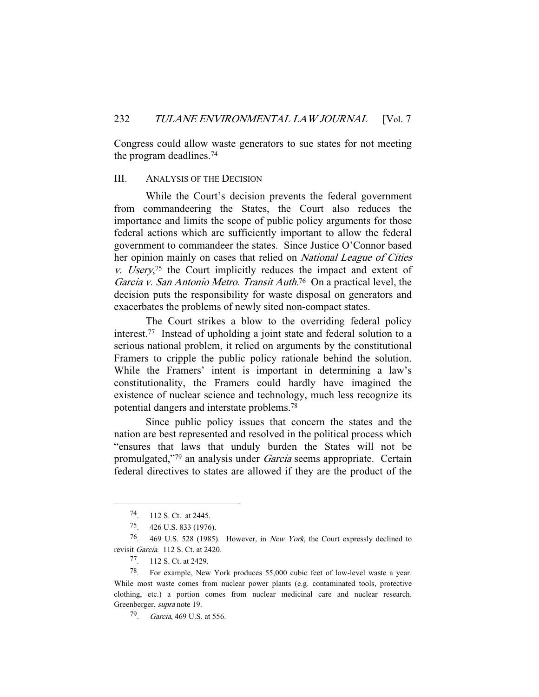Congress could allow waste generators to sue states for not meeting the program deadlines.74

#### III. ANALYSIS OF THE DECISION

 While the Court's decision prevents the federal government from commandeering the States, the Court also reduces the importance and limits the scope of public policy arguments for those federal actions which are sufficiently important to allow the federal government to commandeer the states. Since Justice O'Connor based her opinion mainly on cases that relied on National League of Cities v. Usery,75 the Court implicitly reduces the impact and extent of Garcia v. San Antonio Metro. Transit Auth.<sup>76</sup> On a practical level, the decision puts the responsibility for waste disposal on generators and exacerbates the problems of newly sited non-compact states.

 The Court strikes a blow to the overriding federal policy interest.77 Instead of upholding a joint state and federal solution to a serious national problem, it relied on arguments by the constitutional Framers to cripple the public policy rationale behind the solution. While the Framers' intent is important in determining a law's constitutionality, the Framers could hardly have imagined the existence of nuclear science and technology, much less recognize its potential dangers and interstate problems.78

 Since public policy issues that concern the states and the nation are best represented and resolved in the political process which "ensures that laws that unduly burden the States will not be promulgated,"79 an analysis under Garcia seems appropriate. Certain federal directives to states are allowed if they are the product of the

<sup>74. 112</sup> S. Ct. at 2445.

<sup>75. 426</sup> U.S. 833 (1976).

<sup>76. 469</sup> U.S. 528 (1985). However, in New York, the Court expressly declined to revisit Garcia. 112 S. Ct. at 2420.

<sup>77. 112</sup> S. Ct. at 2429.

<sup>78.</sup> For example, New York produces 55,000 cubic feet of low-level waste a year. While most waste comes from nuclear power plants (e.g. contaminated tools, protective clothing, etc.) a portion comes from nuclear medicinal care and nuclear research. Greenberger, supra note 19.

<sup>79.</sup> Garcia, 469 U.S. at 556.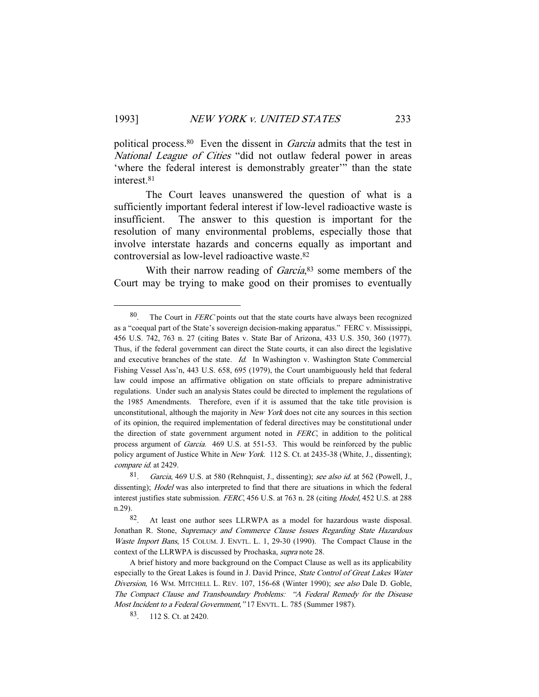political process.80 Even the dissent in Garcia admits that the test in National League of Cities "did not outlaw federal power in areas 'where the federal interest is demonstrably greater'" than the state interest.81

 The Court leaves unanswered the question of what is a sufficiently important federal interest if low-level radioactive waste is insufficient. The answer to this question is important for the resolution of many environmental problems, especially those that involve interstate hazards and concerns equally as important and controversial as low-level radioactive waste.82

With their narrow reading of *Garcia*<sup>83</sup> some members of the Court may be trying to make good on their promises to eventually

 $80$ . The Court in *FERC* points out that the state courts have always been recognized as a "coequal part of the State's sovereign decision-making apparatus." FERC v. Mississippi, 456 U.S. 742, 763 n. 27 (citing Bates v. State Bar of Arizona, 433 U.S. 350, 360 (1977). Thus, if the federal government can direct the State courts, it can also direct the legislative and executive branches of the state. Id. In Washington v. Washington State Commercial Fishing Vessel Ass'n, 443 U.S. 658, 695 (1979), the Court unambiguously held that federal law could impose an affirmative obligation on state officials to prepare administrative regulations. Under such an analysis States could be directed to implement the regulations of the 1985 Amendments. Therefore, even if it is assumed that the take title provision is unconstitutional, although the majority in *New York* does not cite any sources in this section of its opinion, the required implementation of federal directives may be constitutional under the direction of state government argument noted in FERC, in addition to the political process argument of Garcia. 469 U.S. at 551-53. This would be reinforced by the public policy argument of Justice White in New York. 112 S. Ct. at 2435-38 (White, J., dissenting); compare id. at 2429.

 $81.$  Garcia, 469 U.S. at 580 (Rehnquist, J., dissenting); see also id. at 562 (Powell, J., dissenting); *Hodel* was also interpreted to find that there are situations in which the federal interest justifies state submission. FERC, 456 U.S. at 763 n. 28 (citing Hodel, 452 U.S. at 288 n.29).

<sup>82.</sup> At least one author sees LLRWPA as a model for hazardous waste disposal. Jonathan R. Stone, Supremacy and Commerce Clause Issues Regarding State Hazardous Waste Import Bans, 15 COLUM. J. ENVTL. L. 1, 29-30 (1990). The Compact Clause in the context of the LLRWPA is discussed by Prochaska, supra note 28.

A brief history and more background on the Compact Clause as well as its applicability especially to the Great Lakes is found in J. David Prince, *State Control of Great Lakes Water* Diversion, 16 WM. MITCHELL L. REV. 107, 156-68 (Winter 1990); see also Dale D. Goble, The Compact Clause and Transboundary Problems: "A Federal Remedy for the Disease Most Incident to a Federal Government," 17 ENVTL. L. 785 (Summer 1987).

<sup>83. 112</sup> S. Ct. at 2420.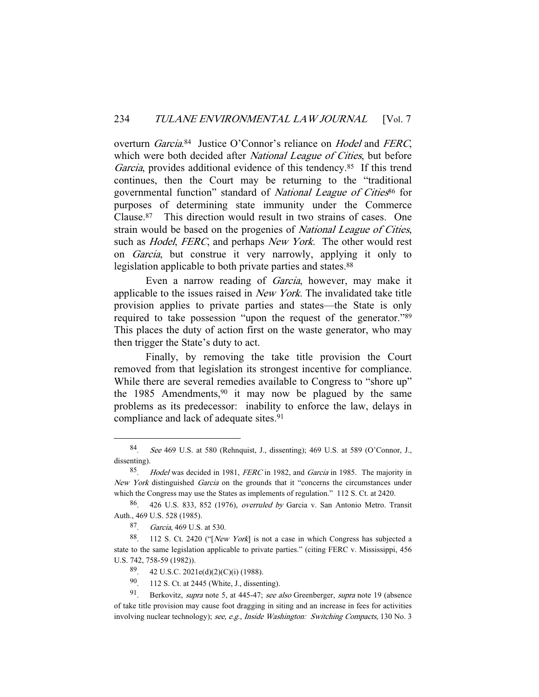overturn Garcia.<sup>84</sup> Justice O'Connor's reliance on *Hodel* and *FERC*, which were both decided after National League of Cities, but before Garcia, provides additional evidence of this tendency.<sup>85</sup> If this trend continues, then the Court may be returning to the "traditional governmental function" standard of National League of Cities<sup>86</sup> for purposes of determining state immunity under the Commerce Clause.87 This direction would result in two strains of cases. One strain would be based on the progenies of National League of Cities, such as *Hodel, FERC*, and perhaps *New York*. The other would rest on Garcia, but construe it very narrowly, applying it only to legislation applicable to both private parties and states.<sup>88</sup>

 Even a narrow reading of Garcia, however, may make it applicable to the issues raised in New York. The invalidated take title provision applies to private parties and states—the State is only required to take possession "upon the request of the generator."89 This places the duty of action first on the waste generator, who may then trigger the State's duty to act.

 Finally, by removing the take title provision the Court removed from that legislation its strongest incentive for compliance. While there are several remedies available to Congress to "shore up" the 1985 Amendments,  $90$  it may now be plagued by the same problems as its predecessor: inability to enforce the law, delays in compliance and lack of adequate sites.<sup>91</sup>

-

90. 112 S. Ct. at 2445 (White, J., dissenting).

<sup>84.</sup> See 469 U.S. at 580 (Rehnquist, J., dissenting); 469 U.S. at 589 (O'Connor, J., dissenting).

<sup>&</sup>lt;sup>85</sup>. *Hodel* was decided in 1981, *FERC* in 1982, and *Garcia* in 1985. The majority in New York distinguished Garcia on the grounds that it "concerns the circumstances under which the Congress may use the States as implements of regulation." 112 S. Ct. at 2420.

<sup>86. 426</sup> U.S. 833, 852 (1976), overruled by Garcia v. San Antonio Metro. Transit Auth., 469 U.S. 528 (1985).

<sup>87.</sup> Garcia, 469 U.S. at 530.

<sup>88. 112</sup> S. Ct. 2420 ("[New York] is not a case in which Congress has subjected a state to the same legislation applicable to private parties." (citing FERC v. Mississippi, 456 U.S. 742, 758-59 (1982)).

<sup>89. 42</sup> U.S.C. 2021e(d)(2)(C)(i) (1988).

<sup>91.</sup> Berkovitz, *supra* note 5, at 445-47; see also Greenberger, *supra* note 19 (absence of take title provision may cause foot dragging in siting and an increase in fees for activities involving nuclear technology); see, e.g., Inside Washington: Switching Compacts, 130 No. 3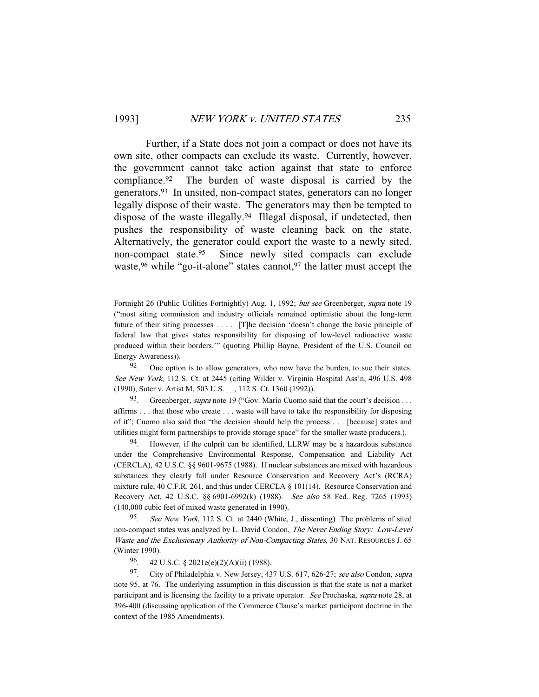Further, if a State does not join a compact or does not have its own site, other compacts can exclude its waste. Currently, however, the government cannot take action against that state to enforce compliance.92 The burden of waste disposal is carried by the generators.93 In unsited, non-compact states, generators can no longer legally dispose of their waste. The generators may then be tempted to dispose of the waste illegally.94 Illegal disposal, if undetected, then pushes the responsibility of waste cleaning back on the state. Alternatively, the generator could export the waste to a newly sited, non-compact state.<sup>95</sup> Since newly sited compacts can exclude waste,<sup>96</sup> while "go-it-alone" states cannot,<sup>97</sup> the latter must accept the

<sup>93</sup>. Greenberger, *supra* note 19 ("Gov. Mario Cuomo said that the court's decision . . . affirms . . . that those who create . . . waste will have to take the responsibility for disposing of it"; Cuomo also said that "the decision should help the process . . . [because] states and utilities might form partnerships to provide storage space" for the smaller waste producers.).

 $94$ . However, if the culprit can be identified, LLRW may be a hazardous substance under the Comprehensive Environmental Response, Compensation and Liability Act (CERCLA), 42 U.S.C. §§ 9601-9675 (1988). If nuclear substances are mixed with hazardous substances they clearly fall under Resource Conservation and Recovery Act's (RCRA) mixture rule, 40 C.F.R. 261, and thus under CERCLA  $\S$  101(14). Resource Conservation and Recovery Act, 42 U.S.C. §§ 6901-6992(k) (1988). See also 58 Fed. Reg. 7265 (1993) (140,000 cubic feet of mixed waste generated in 1990).

95. See New York, 112 S. Ct. at 2440 (White, J., dissenting) The problems of sited non-compact states was analyzed by L. David Condon, The Never Ending Story: Low-Level Waste and the Exclusionary Authority of Non-Compacting States, 30 NAT. RESOURCES J. 65 (Winter 1990).

96. 42 U.S.C. § 2021e(e)(2)(A)(ii) (1988).

1

97. City of Philadelphia v. New Jersey, 437 U.S. 617, 626-27; see also Condon, supra note 95, at 76. The underlying assumption in this discussion is that the state is not a market participant and is licensing the facility to a private operator. See Prochaska, supra note 28, at 396-400 (discussing application of the Commerce Clause's market participant doctrine in the context of the 1985 Amendments).

Fortnight 26 (Public Utilities Fortnightly) Aug. 1, 1992; but see Greenberger, supra note 19 ("most siting commission and industry officials remained optimistic about the long-term future of their siting processes . . . . [T]he decision 'doesn't change the basic principle of federal law that gives states responsibility for disposing of low-level radioactive waste produced within their borders.'" (quoting Phillip Bayne, President of the U.S. Council on Energy Awareness)).

 $92$ . One option is to allow generators, who now have the burden, to sue their states. See New York, 112 S. Ct. at 2445 (citing Wilder v. Virginia Hospital Ass'n, 496 U.S. 498 (1990), Suter v. Artist M, 503 U.S. \_\_, 112 S. Ct. 1360 (1992)).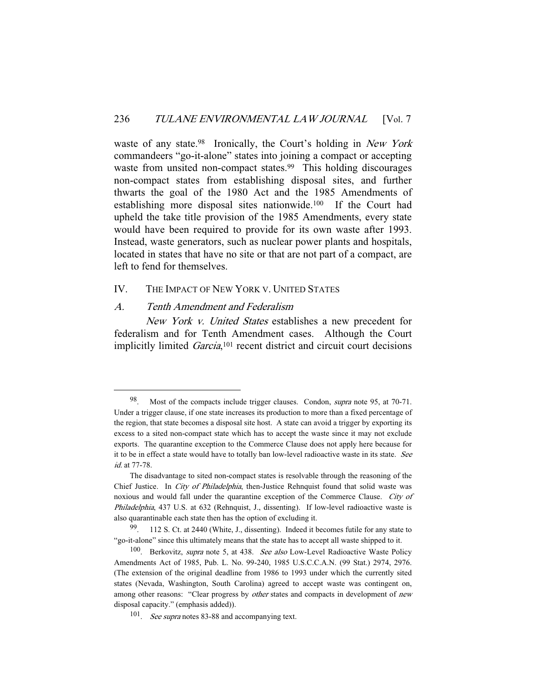waste of any state.<sup>98</sup> Ironically, the Court's holding in New York commandeers "go-it-alone" states into joining a compact or accepting waste from unsited non-compact states.<sup>99</sup> This holding discourages non-compact states from establishing disposal sites, and further thwarts the goal of the 1980 Act and the 1985 Amendments of establishing more disposal sites nationwide.100 If the Court had upheld the take title provision of the 1985 Amendments, every state would have been required to provide for its own waste after 1993. Instead, waste generators, such as nuclear power plants and hospitals, located in states that have no site or that are not part of a compact, are left to fend for themselves.

#### IV. THE IMPACT OF NEW YORK V. UNITED STATES

### A. Tenth Amendment and Federalism

-

New York v. United States establishes a new precedent for federalism and for Tenth Amendment cases. Although the Court implicitly limited *Garcia*,<sup>101</sup> recent district and circuit court decisions

<sup>98.</sup> Most of the compacts include trigger clauses. Condon, *supra* note 95, at 70-71. Under a trigger clause, if one state increases its production to more than a fixed percentage of the region, that state becomes a disposal site host. A state can avoid a trigger by exporting its excess to a sited non-compact state which has to accept the waste since it may not exclude exports. The quarantine exception to the Commerce Clause does not apply here because for it to be in effect a state would have to totally ban low-level radioactive waste in its state. See id. at 77-78.

The disadvantage to sited non-compact states is resolvable through the reasoning of the Chief Justice. In City of Philadelphia, then-Justice Rehnquist found that solid waste was noxious and would fall under the quarantine exception of the Commerce Clause. City of Philadelphia, 437 U.S. at 632 (Rehnquist, J., dissenting). If low-level radioactive waste is also quarantinable each state then has the option of excluding it.

<sup>99. 112</sup> S. Ct. at 2440 (White, J., dissenting). Indeed it becomes futile for any state to "go-it-alone" since this ultimately means that the state has to accept all waste shipped to it.

 $100$ . Berkovitz, *supra* note 5, at 438. See also Low-Level Radioactive Waste Policy Amendments Act of 1985, Pub. L. No. 99-240, 1985 U.S.C.C.A.N. (99 Stat.) 2974, 2976. (The extension of the original deadline from 1986 to 1993 under which the currently sited states (Nevada, Washington, South Carolina) agreed to accept waste was contingent on, among other reasons: "Clear progress by *other* states and compacts in development of new disposal capacity." (emphasis added)).

<sup>&</sup>lt;sup>101</sup>. See supra notes 83-88 and accompanying text.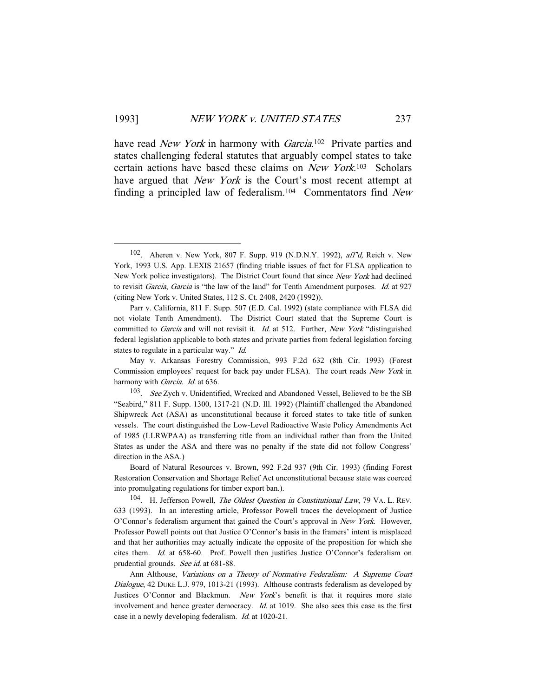-

have read *New York* in harmony with *Garcia*.<sup>102</sup> Private parties and states challenging federal statutes that arguably compel states to take certain actions have based these claims on New York.103 Scholars have argued that *New York* is the Court's most recent attempt at finding a principled law of federalism.<sup>104</sup> Commentators find New

 $102$ . Aheren v. New York, 807 F. Supp. 919 (N.D.N.Y. 1992), aff'd, Reich v. New York, 1993 U.S. App. LEXIS 21657 (finding triable issues of fact for FLSA application to New York police investigators). The District Court found that since New York had declined to revisit Garcia, Garcia is "the law of the land" for Tenth Amendment purposes. Id. at 927 (citing New York v. United States, 112 S. Ct. 2408, 2420 (1992)).

Parr v. California, 811 F. Supp. 507 (E.D. Cal. 1992) (state compliance with FLSA did not violate Tenth Amendment). The District Court stated that the Supreme Court is committed to Garcia and will not revisit it. Id. at 512. Further, New York "distinguished federal legislation applicable to both states and private parties from federal legislation forcing states to regulate in a particular way." *Id.* 

May v. Arkansas Forestry Commission, 993 F.2d 632 (8th Cir. 1993) (Forest Commission employees' request for back pay under FLSA). The court reads New York in harmony with Garcia. Id. at 636.

<sup>103.</sup> See Zych v. Unidentified, Wrecked and Abandoned Vessel, Believed to be the SB "Seabird," 811 F. Supp. 1300, 1317-21 (N.D. Ill. 1992) (Plaintiff challenged the Abandoned Shipwreck Act (ASA) as unconstitutional because it forced states to take title of sunken vessels. The court distinguished the Low-Level Radioactive Waste Policy Amendments Act of 1985 (LLRWPAA) as transferring title from an individual rather than from the United States as under the ASA and there was no penalty if the state did not follow Congress' direction in the ASA.)

Board of Natural Resources v. Brown, 992 F.2d 937 (9th Cir. 1993) (finding Forest Restoration Conservation and Shortage Relief Act unconstitutional because state was coerced into promulgating regulations for timber export ban.).

<sup>&</sup>lt;sup>104</sup>. H. Jefferson Powell, *The Oldest Question in Constitutional Law*, 79 VA. L. REV. 633 (1993). In an interesting article, Professor Powell traces the development of Justice O'Connor's federalism argument that gained the Court's approval in New York. However, Professor Powell points out that Justice O'Connor's basis in the framers' intent is misplaced and that her authorities may actually indicate the opposite of the proposition for which she cites them. Id. at 658-60. Prof. Powell then justifies Justice O'Connor's federalism on prudential grounds. See id. at 681-88.

Ann Althouse, Variations on a Theory of Normative Federalism: A Supreme Court Dialogue, 42 DUKE L.J. 979, 1013-21 (1993). Althouse contrasts federalism as developed by Justices O'Connor and Blackmun. New York's benefit is that it requires more state involvement and hence greater democracy. Id. at 1019. She also sees this case as the first case in a newly developing federalism. Id. at 1020-21.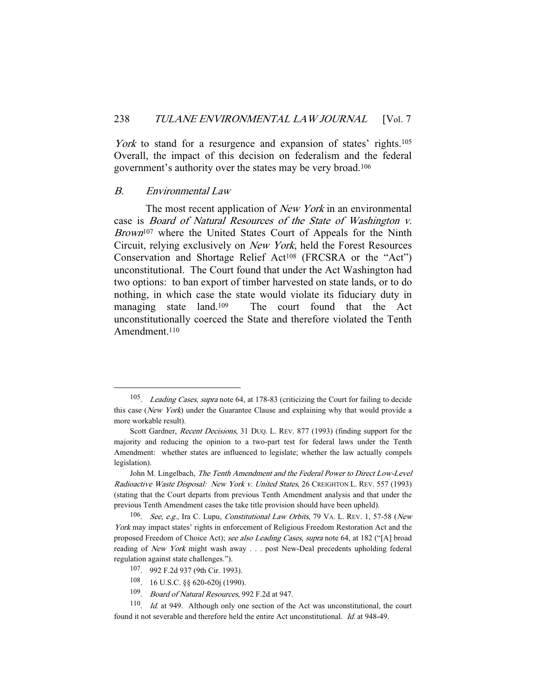York to stand for a resurgence and expansion of states' rights.<sup>105</sup> Overall, the impact of this decision on federalism and the federal government's authority over the states may be very broad.106

#### B. Environmental Law

-

The most recent application of *New York* in an environmental case is Board of Natural Resources of the State of Washington v. Brown<sup>107</sup> where the United States Court of Appeals for the Ninth Circuit, relying exclusively on New York, held the Forest Resources Conservation and Shortage Relief Act<sup>108</sup> (FRCSRA or the "Act") unconstitutional. The Court found that under the Act Washington had two options: to ban export of timber harvested on state lands, or to do nothing, in which case the state would violate its fiduciary duty in managing state land.109 The court found that the Act unconstitutionally coerced the State and therefore violated the Tenth Amendment.<sup>110</sup>

- 108. 16 U.S.C. §§ 620-620j (1990).
- 109. Board of Natural Resources, 992 F.2d at 947.

<sup>&</sup>lt;sup>105</sup>. Leading Cases, supra note 64, at 178-83 (criticizing the Court for failing to decide this case (New York) under the Guarantee Clause and explaining why that would provide a more workable result).

Scott Gardner, *Recent Decisions*, 31 DUQ. L. REV. 877 (1993) (finding support for the majority and reducing the opinion to a two-part test for federal laws under the Tenth Amendment: whether states are influenced to legislate; whether the law actually compels legislation).

John M. Lingelbach, The Tenth Amendment and the Federal Power to Direct Low-Level Radioactive Waste Disposal: New York v. United States, 26 CREIGHTON L. REV. 557 (1993) (stating that the Court departs from previous Tenth Amendment analysis and that under the previous Tenth Amendment cases the take title provision should have been upheld).

<sup>&</sup>lt;sup>106</sup>. See, e.g., Ira C. Lupu, *Constitutional Law Orbits*, 79 VA. L. REV. 1, 57-58 (New York may impact states' rights in enforcement of Religious Freedom Restoration Act and the proposed Freedom of Choice Act); see also Leading Cases, supra note 64, at 182 ("[A] broad reading of New York might wash away . . . post New-Deal precedents upholding federal regulation against state challenges.").

<sup>107. 992</sup> F.2d 937 (9th Cir. 1993).

<sup>110.</sup> Id. at 949. Although only one section of the Act was unconstitutional, the court found it not severable and therefore held the entire Act unconstitutional. Id. at 948-49.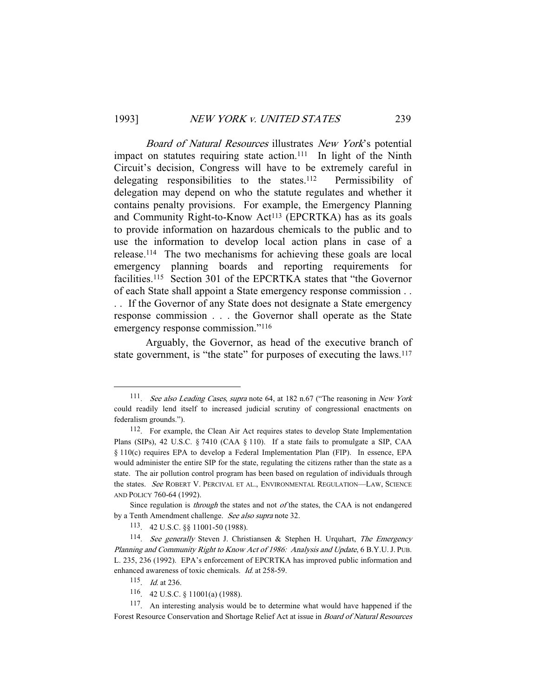-

Board of Natural Resources illustrates New York's potential impact on statutes requiring state action.<sup>111</sup> In light of the Ninth Circuit's decision, Congress will have to be extremely careful in delegating responsibilities to the states.112 Permissibility of delegation may depend on who the statute regulates and whether it contains penalty provisions. For example, the Emergency Planning and Community Right-to-Know Act<sup>113</sup> (EPCRTKA) has as its goals to provide information on hazardous chemicals to the public and to use the information to develop local action plans in case of a release.114 The two mechanisms for achieving these goals are local emergency planning boards and reporting requirements for facilities.115 Section 301 of the EPCRTKA states that "the Governor of each State shall appoint a State emergency response commission . . . . If the Governor of any State does not designate a State emergency response commission . . . the Governor shall operate as the State emergency response commission."116

 Arguably, the Governor, as head of the executive branch of state government, is "the state" for purposes of executing the laws.<sup>117</sup>

<sup>111.</sup> See also Leading Cases, supra note 64, at 182 n.67 ("The reasoning in New York could readily lend itself to increased judicial scrutiny of congressional enactments on federalism grounds.").

<sup>112.</sup> For example, the Clean Air Act requires states to develop State Implementation Plans (SIPs), 42 U.S.C.  $\S$  7410 (CAA  $\S$  110). If a state fails to promulgate a SIP, CAA § 110(c) requires EPA to develop a Federal Implementation Plan (FIP). In essence, EPA would administer the entire SIP for the state, regulating the citizens rather than the state as a state. The air pollution control program has been based on regulation of individuals through the states. See ROBERT V. PERCIVAL ET AL., ENVIRONMENTAL REGULATION—LAW, SCIENCE AND POLICY 760-64 (1992).

Since regulation is *through* the states and not *of* the states, the CAA is not endangered by a Tenth Amendment challenge. See also supra note 32.

<sup>113. 42</sup> U.S.C. §§ 11001-50 (1988).

<sup>114.</sup> See generally Steven J. Christiansen & Stephen H. Urquhart, The Emergency Planning and Community Right to Know Act of 1986: Analysis and Update, 6 B.Y.U.J. PUB. L. 235, 236 (1992). EPA's enforcement of EPCRTKA has improved public information and enhanced awareness of toxic chemicals. Id. at 258-59.

<sup>115.</sup> Id. at 236.

<sup>116. 42</sup> U.S.C. § 11001(a) (1988).

<sup>117.</sup> An interesting analysis would be to determine what would have happened if the Forest Resource Conservation and Shortage Relief Act at issue in Board of Natural Resources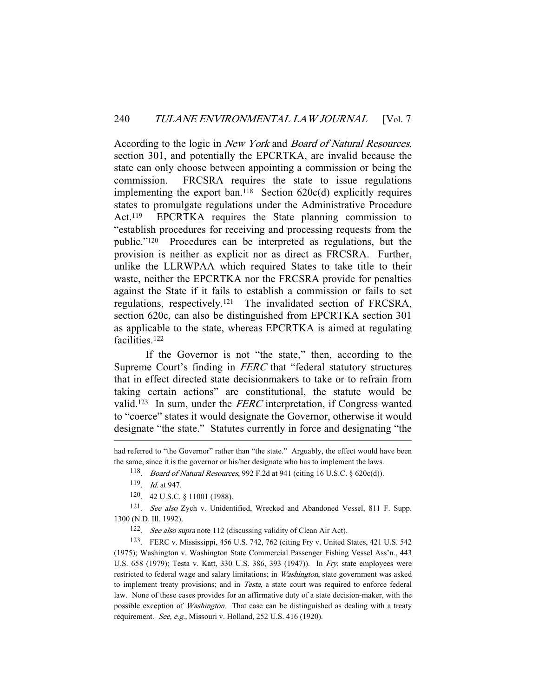According to the logic in New York and Board of Natural Resources, section 301, and potentially the EPCRTKA, are invalid because the state can only choose between appointing a commission or being the commission. FRCSRA requires the state to issue regulations implementing the export ban.<sup>118</sup> Section  $620c(d)$  explicitly requires states to promulgate regulations under the Administrative Procedure Act.<sup>119</sup> EPCRTKA requires the State planning commission to "establish procedures for receiving and processing requests from the public."120 Procedures can be interpreted as regulations, but the provision is neither as explicit nor as direct as FRCSRA. Further, unlike the LLRWPAA which required States to take title to their waste, neither the EPCRTKA nor the FRCSRA provide for penalties against the State if it fails to establish a commission or fails to set regulations, respectively.121 The invalidated section of FRCSRA, section 620c, can also be distinguished from EPCRTKA section 301 as applicable to the state, whereas EPCRTKA is aimed at regulating facilities.122

 If the Governor is not "the state," then, according to the Supreme Court's finding in FERC that "federal statutory structures" that in effect directed state decisionmakers to take or to refrain from taking certain actions" are constitutional, the statute would be valid.123 In sum, under the FERC interpretation, if Congress wanted to "coerce" states it would designate the Governor, otherwise it would designate "the state." Statutes currently in force and designating "the

1

123. FERC v. Mississippi, 456 U.S. 742, 762 (citing Fry v. United States, 421 U.S. 542 (1975); Washington v. Washington State Commercial Passenger Fishing Vessel Ass'n., 443 U.S. 658 (1979); Testa v. Katt, 330 U.S. 386, 393 (1947)). In Fry, state employees were restricted to federal wage and salary limitations; in Washington, state government was asked to implement treaty provisions; and in Testa, a state court was required to enforce federal law. None of these cases provides for an affirmative duty of a state decision-maker, with the possible exception of Washington. That case can be distinguished as dealing with a treaty requirement. See, e.g., Missouri v. Holland, 252 U.S. 416 (1920).

had referred to "the Governor" rather than "the state." Arguably, the effect would have been the same, since it is the governor or his/her designate who has to implement the laws.

<sup>118.</sup> Board of Natural Resources, 992 F.2d at 941 (citing 16 U.S.C. § 620c(d)).

<sup>119.</sup> Id. at 947.

<sup>120. 42</sup> U.S.C. § 11001 (1988).

<sup>121.</sup> See also Zych v. Unidentified, Wrecked and Abandoned Vessel, 811 F. Supp. 1300 (N.D. Ill. 1992).

<sup>122.</sup> See also supra note 112 (discussing validity of Clean Air Act).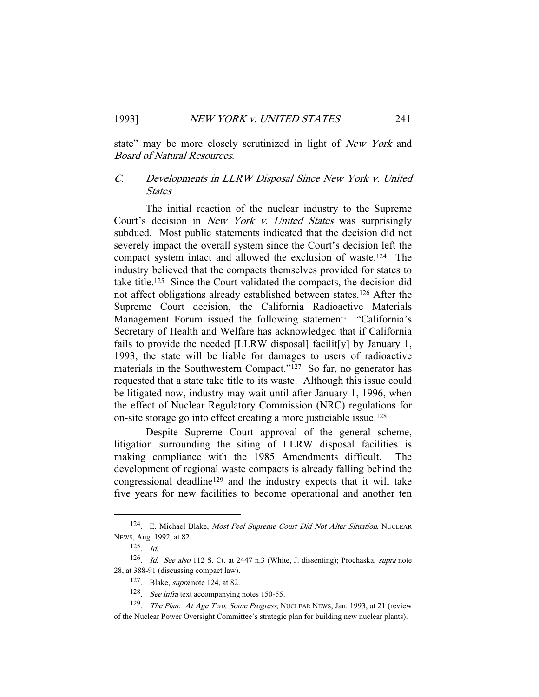state" may be more closely scrutinized in light of New York and Board of Natural Resources.

## C. Developments in LLRW Disposal Since New York v. United **States**

 The initial reaction of the nuclear industry to the Supreme Court's decision in New York v. United States was surprisingly subdued. Most public statements indicated that the decision did not severely impact the overall system since the Court's decision left the compact system intact and allowed the exclusion of waste.124 The industry believed that the compacts themselves provided for states to take title.125 Since the Court validated the compacts, the decision did not affect obligations already established between states.126 After the Supreme Court decision, the California Radioactive Materials Management Forum issued the following statement: "California's Secretary of Health and Welfare has acknowledged that if California fails to provide the needed [LLRW disposal] facilit[y] by January 1, 1993, the state will be liable for damages to users of radioactive materials in the Southwestern Compact."127 So far, no generator has requested that a state take title to its waste. Although this issue could be litigated now, industry may wait until after January 1, 1996, when the effect of Nuclear Regulatory Commission (NRC) regulations for on-site storage go into effect creating a more justiciable issue.128

 Despite Supreme Court approval of the general scheme, litigation surrounding the siting of LLRW disposal facilities is making compliance with the 1985 Amendments difficult. The development of regional waste compacts is already falling behind the congressional deadline129 and the industry expects that it will take five years for new facilities to become operational and another ten

<sup>&</sup>lt;sup>124</sup>. E. Michael Blake, *Most Feel Supreme Court Did Not Alter Situation*, NUCLEAR NEWS, Aug. 1992, at 82.

 $125$ . *Id.* 

<sup>&</sup>lt;sup>126</sup>. Id. See also 112 S. Ct. at 2447 n.3 (White, J. dissenting); Prochaska, supra note 28, at 388-91 (discussing compact law).

<sup>127.</sup> Blake, supra note 124, at 82.

<sup>128.</sup> See infra text accompanying notes 150-55.

<sup>&</sup>lt;sup>129</sup>. The Plan: At Age Two, Some Progress, NUCLEAR NEWS, Jan. 1993, at 21 (review of the Nuclear Power Oversight Committee's strategic plan for building new nuclear plants).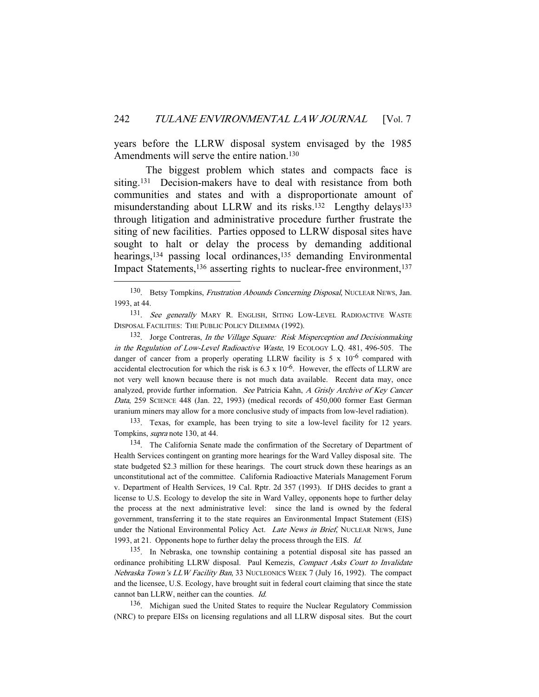years before the LLRW disposal system envisaged by the 1985 Amendments will serve the entire nation.<sup>130</sup>

 The biggest problem which states and compacts face is siting.131 Decision-makers have to deal with resistance from both communities and states and with a disproportionate amount of misunderstanding about LLRW and its risks.<sup>132</sup> Lengthy delays<sup>133</sup> through litigation and administrative procedure further frustrate the siting of new facilities. Parties opposed to LLRW disposal sites have sought to halt or delay the process by demanding additional hearings,<sup>134</sup> passing local ordinances,<sup>135</sup> demanding Environmental Impact Statements,<sup>136</sup> asserting rights to nuclear-free environment,<sup>137</sup>

-

133. Texas, for example, has been trying to site a low-level facility for 12 years. Tompkins, supra note 130, at 44.

134. The California Senate made the confirmation of the Secretary of Department of Health Services contingent on granting more hearings for the Ward Valley disposal site. The state budgeted \$2.3 million for these hearings. The court struck down these hearings as an unconstitutional act of the committee. California Radioactive Materials Management Forum v. Department of Health Services, 19 Cal. Rptr. 2d 357 (1993). If DHS decides to grant a license to U.S. Ecology to develop the site in Ward Valley, opponents hope to further delay the process at the next administrative level: since the land is owned by the federal government, transferring it to the state requires an Environmental Impact Statement (EIS) under the National Environmental Policy Act. Late News in Brief, NUCLEAR NEWS, June 1993, at 21. Opponents hope to further delay the process through the EIS. Id.

135. In Nebraska, one township containing a potential disposal site has passed an ordinance prohibiting LLRW disposal. Paul Kemezis, Compact Asks Court to Invalidate Nebraska Town's LLW Facility Ban, 33 NUCLEONICS WEEK 7 (July 16, 1992). The compact and the licensee, U.S. Ecology, have brought suit in federal court claiming that since the state cannot ban LLRW, neither can the counties. Id.

136. Michigan sued the United States to require the Nuclear Regulatory Commission (NRC) to prepare EISs on licensing regulations and all LLRW disposal sites. But the court

<sup>&</sup>lt;sup>130</sup>. Betsy Tompkins, *Frustration Abounds Concerning Disposal*, NUCLEAR NEWS, Jan. 1993, at 44.

<sup>131.</sup> See generally MARY R. ENGLISH, SITING LOW-LEVEL RADIOACTIVE WASTE DISPOSAL FACILITIES: THE PUBLIC POLICY DILEMMA (1992).

<sup>&</sup>lt;sup>132</sup>. Jorge Contreras, In the Village Square: Risk Misperception and Decisionmaking in the Regulation of Low-Level Radioactive Waste, 19 ECOLOGY L.Q. 481, 496-505. The danger of cancer from a properly operating LLRW facility is  $5 \times 10^{-6}$  compared with accidental electrocution for which the risk is  $6.3 \times 10^{-6}$ . However, the effects of LLRW are not very well known because there is not much data available. Recent data may, once analyzed, provide further information. See Patricia Kahn, A Grisly Archive of Key Cancer Data, 259 SCIENCE 448 (Jan. 22, 1993) (medical records of 450,000 former East German uranium miners may allow for a more conclusive study of impacts from low-level radiation).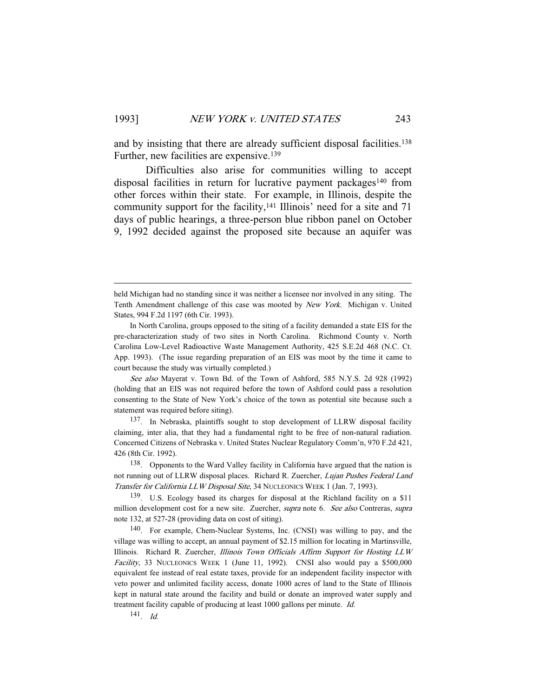and by insisting that there are already sufficient disposal facilities.<sup>138</sup> Further, new facilities are expensive.139

 Difficulties also arise for communities willing to accept disposal facilities in return for lucrative payment packages<sup>140</sup> from other forces within their state. For example, in Illinois, despite the community support for the facility,<sup>141</sup> Illinois' need for a site and 71 days of public hearings, a three-person blue ribbon panel on October 9, 1992 decided against the proposed site because an aquifer was

See also Mayerat v. Town Bd. of the Town of Ashford, 585 N.Y.S. 2d 928 (1992) (holding that an EIS was not required before the town of Ashford could pass a resolution consenting to the State of New York's choice of the town as potential site because such a statement was required before siting).

137. In Nebraska, plaintiffs sought to stop development of LLRW disposal facility claiming, inter alia, that they had a fundamental right to be free of non-natural radiation. Concerned Citizens of Nebraska v. United States Nuclear Regulatory Comm'n, 970 F.2d 421, 426 (8th Cir. 1992).

138. Opponents to the Ward Valley facility in California have argued that the nation is not running out of LLRW disposal places. Richard R. Zuercher, Lujan Pushes Federal Land Transfer for California LLW Disposal Site, 34 NUCLEONICS WEEK 1 (Jan. 7, 1993).

139. U.S. Ecology based its charges for disposal at the Richland facility on a \$11 million development cost for a new site. Zuercher, supra note 6. See also Contreras, supra note 132, at 527-28 (providing data on cost of siting).

140. For example, Chem-Nuclear Systems, Inc. (CNSI) was willing to pay, and the village was willing to accept, an annual payment of \$2.15 million for locating in Martinsville, Illinois. Richard R. Zuercher, Illinois Town Officials Affirm Support for Hosting LLW Facility, 33 NUCLEONICS WEEK 1 (June 11, 1992). CNSI also would pay a \$500,000 equivalent fee instead of real estate taxes, provide for an independent facility inspector with veto power and unlimited facility access, donate 1000 acres of land to the State of Illinois kept in natural state around the facility and build or donate an improved water supply and treatment facility capable of producing at least 1000 gallons per minute. Id.

 $141.$  Id.

held Michigan had no standing since it was neither a licensee nor involved in any siting. The Tenth Amendment challenge of this case was mooted by New York. Michigan v. United States, 994 F.2d 1197 (6th Cir. 1993).

In North Carolina, groups opposed to the siting of a facility demanded a state EIS for the pre-characterization study of two sites in North Carolina. Richmond County v. North Carolina Low-Level Radioactive Waste Management Authority, 425 S.E.2d 468 (N.C. Ct. App. 1993). (The issue regarding preparation of an EIS was moot by the time it came to court because the study was virtually completed.)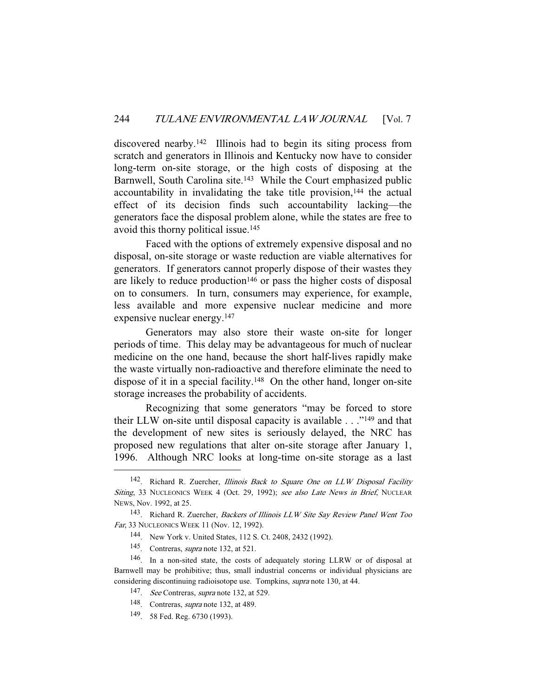discovered nearby.142 Illinois had to begin its siting process from scratch and generators in Illinois and Kentucky now have to consider long-term on-site storage, or the high costs of disposing at the Barnwell, South Carolina site.<sup>143</sup> While the Court emphasized public accountability in invalidating the take title provision,<sup>144</sup> the actual effect of its decision finds such accountability lacking—the generators face the disposal problem alone, while the states are free to avoid this thorny political issue.145

 Faced with the options of extremely expensive disposal and no disposal, on-site storage or waste reduction are viable alternatives for generators. If generators cannot properly dispose of their wastes they are likely to reduce production<sup>146</sup> or pass the higher costs of disposal on to consumers. In turn, consumers may experience, for example, less available and more expensive nuclear medicine and more expensive nuclear energy.147

 Generators may also store their waste on-site for longer periods of time. This delay may be advantageous for much of nuclear medicine on the one hand, because the short half-lives rapidly make the waste virtually non-radioactive and therefore eliminate the need to dispose of it in a special facility.148 On the other hand, longer on-site storage increases the probability of accidents.

 Recognizing that some generators "may be forced to store their LLW on-site until disposal capacity is available . . ."149 and that the development of new sites is seriously delayed, the NRC has proposed new regulations that alter on-site storage after January 1, 1996. Although NRC looks at long-time on-site storage as a last

<sup>&</sup>lt;sup>142</sup>. Richard R. Zuercher, *Illinois Back to Square One on LLW Disposal Facility* Siting, 33 NUCLEONICS WEEK 4 (Oct. 29, 1992); see also Late News in Brief, NUCLEAR NEWS, Nov. 1992, at 25.

<sup>&</sup>lt;sup>143</sup>. Richard R. Zuercher, Backers of Illinois LLW Site Say Review Panel Went Too Far, 33 NUCLEONICS WEEK 11 (Nov. 12, 1992).

<sup>144.</sup> New York v. United States, 112 S. Ct. 2408, 2432 (1992).

<sup>145.</sup> Contreras, supra note 132, at 521.

<sup>146.</sup> In a non-sited state, the costs of adequately storing LLRW or of disposal at Barnwell may be prohibitive; thus, small industrial concerns or individual physicians are considering discontinuing radioisotope use. Tompkins, supra note 130, at 44.

<sup>147.</sup> See Contreras, *supra* note 132, at 529.

<sup>148.</sup> Contreras, supra note 132, at 489.

<sup>149. 58</sup> Fed. Reg. 6730 (1993).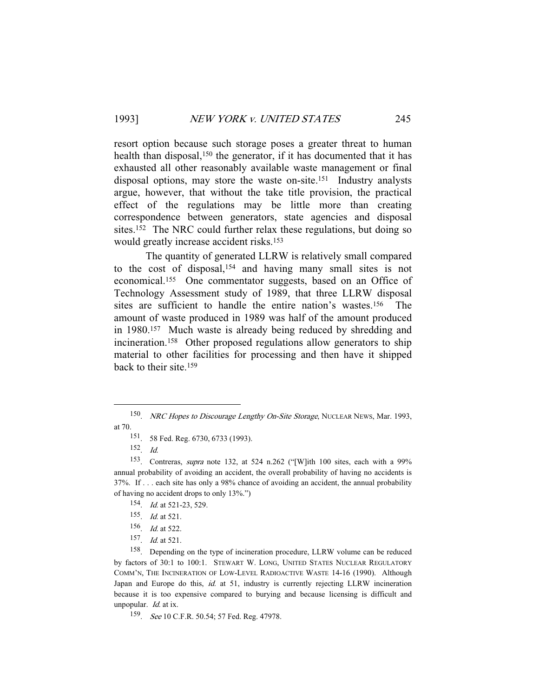resort option because such storage poses a greater threat to human health than disposal,<sup>150</sup> the generator, if it has documented that it has exhausted all other reasonably available waste management or final disposal options, may store the waste on-site.151 Industry analysts argue, however, that without the take title provision, the practical effect of the regulations may be little more than creating correspondence between generators, state agencies and disposal sites.152 The NRC could further relax these regulations, but doing so would greatly increase accident risks.<sup>153</sup>

 The quantity of generated LLRW is relatively small compared to the cost of disposal,154 and having many small sites is not economical.155 One commentator suggests, based on an Office of Technology Assessment study of 1989, that three LLRW disposal sites are sufficient to handle the entire nation's wastes.156 The amount of waste produced in 1989 was half of the amount produced in 1980.157 Much waste is already being reduced by shredding and incineration.158 Other proposed regulations allow generators to ship material to other facilities for processing and then have it shipped back to their site.159

-

- 156. Id. at 522.
- 157. Id. at 521.

158. Depending on the type of incineration procedure, LLRW volume can be reduced by factors of 30:1 to 100:1. STEWART W. LONG, UNITED STATES NUCLEAR REGULATORY COMM'N, THE INCINERATION OF LOW-LEVEL RADIOACTIVE WASTE 14-16 (1990). Although Japan and Europe do this, *id.* at 51, industry is currently rejecting LLRW incineration because it is too expensive compared to burying and because licensing is difficult and unpopular. *Id.* at ix.

159. See 10 C.F.R. 50.54; 57 Fed. Reg. 47978.

<sup>&</sup>lt;sup>150</sup>. NRC Hopes to Discourage Lengthy On-Site Storage, NUCLEAR NEWS, Mar. 1993, at 70.

<sup>151. 58</sup> Fed. Reg. 6730, 6733 (1993).

<sup>152.</sup> Id.

<sup>153.</sup> Contreras, supra note 132, at 524 n.262 ("[W]ith 100 sites, each with a 99% annual probability of avoiding an accident, the overall probability of having no accidents is 37%. If . . . each site has only a 98% chance of avoiding an accident, the annual probability of having no accident drops to only 13%.")

<sup>154.</sup> Id. at 521-23, 529.

<sup>155.</sup> Id. at 521.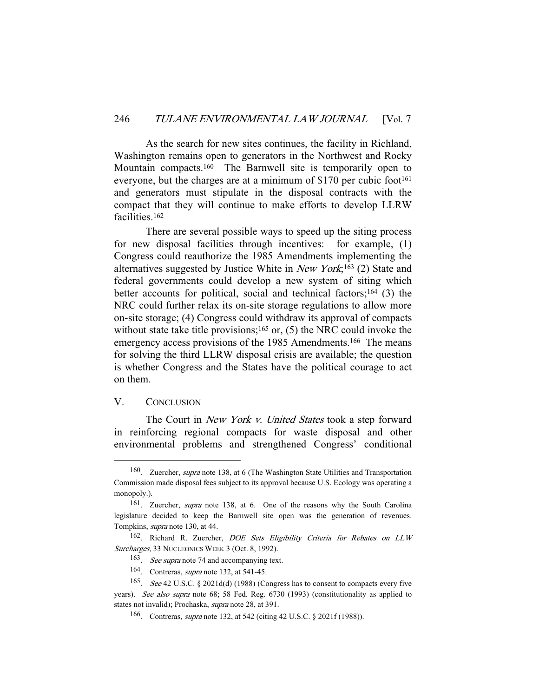As the search for new sites continues, the facility in Richland, Washington remains open to generators in the Northwest and Rocky Mountain compacts.<sup>160</sup> The Barnwell site is temporarily open to everyone, but the charges are at a minimum of  $$170$  per cubic foot<sup>161</sup> and generators must stipulate in the disposal contracts with the compact that they will continue to make efforts to develop LLRW facilities.162

 There are several possible ways to speed up the siting process for new disposal facilities through incentives: for example, (1) Congress could reauthorize the 1985 Amendments implementing the alternatives suggested by Justice White in New York;163 (2) State and federal governments could develop a new system of siting which better accounts for political, social and technical factors;<sup>164</sup> (3) the NRC could further relax its on-site storage regulations to allow more on-site storage; (4) Congress could withdraw its approval of compacts without state take title provisions;<sup>165</sup> or,  $(5)$  the NRC could invoke the emergency access provisions of the 1985 Amendments.<sup>166</sup> The means for solving the third LLRW disposal crisis are available; the question is whether Congress and the States have the political courage to act on them.

## V. CONCLUSION

-

The Court in *New York v. United States* took a step forward in reinforcing regional compacts for waste disposal and other environmental problems and strengthened Congress' conditional

<sup>&</sup>lt;sup>160</sup>. Zuercher, *supra* note 138, at 6 (The Washington State Utilities and Transportation Commission made disposal fees subject to its approval because U.S. Ecology was operating a monopoly.).

<sup>161.</sup> Zuercher, supra note 138, at 6. One of the reasons why the South Carolina legislature decided to keep the Barnwell site open was the generation of revenues. Tompkins, supra note 130, at 44.

<sup>&</sup>lt;sup>162</sup>. Richard R. Zuercher, *DOE Sets Eligibility Criteria for Rebates on LLW* Surcharges, 33 NUCLEONICS WEEK 3 (Oct. 8, 1992).

<sup>&</sup>lt;sup>163</sup>. See supra note 74 and accompanying text.

<sup>164.</sup> Contreras, supra note 132, at 541-45.

<sup>165.</sup> See 42 U.S.C. § 2021d(d) (1988) (Congress has to consent to compacts every five years). See also supra note 68; 58 Fed. Reg. 6730 (1993) (constitutionality as applied to states not invalid); Prochaska, supra note 28, at 391.

<sup>166.</sup> Contreras, supra note 132, at 542 (citing 42 U.S.C. § 2021f (1988)).